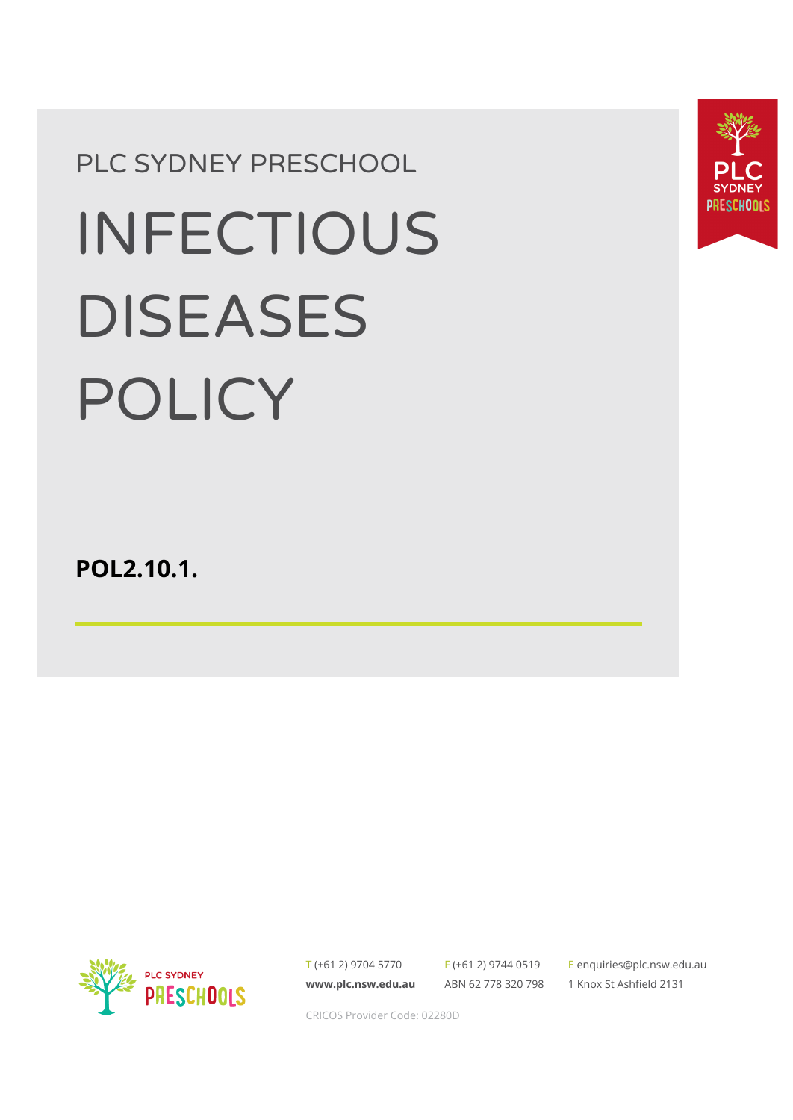# PLC SYDNEY PRESCHOOL INFECTIOUS DISEASES POLICY

**POL2.10.1.**



T (+61 2) 9704 5770 **[www.plc.nsw.edu.au](http://www.plc.nsw.edu.au)**

F (+61 2) 9744 0519 ABN 62 778 320 798

E [enquiries@plc.nsw.edu.au](mailto:enquiries@plc.nsw.edu.au) 1 Knox St Ashfield 2131



CRICOS Provider Code: 02280D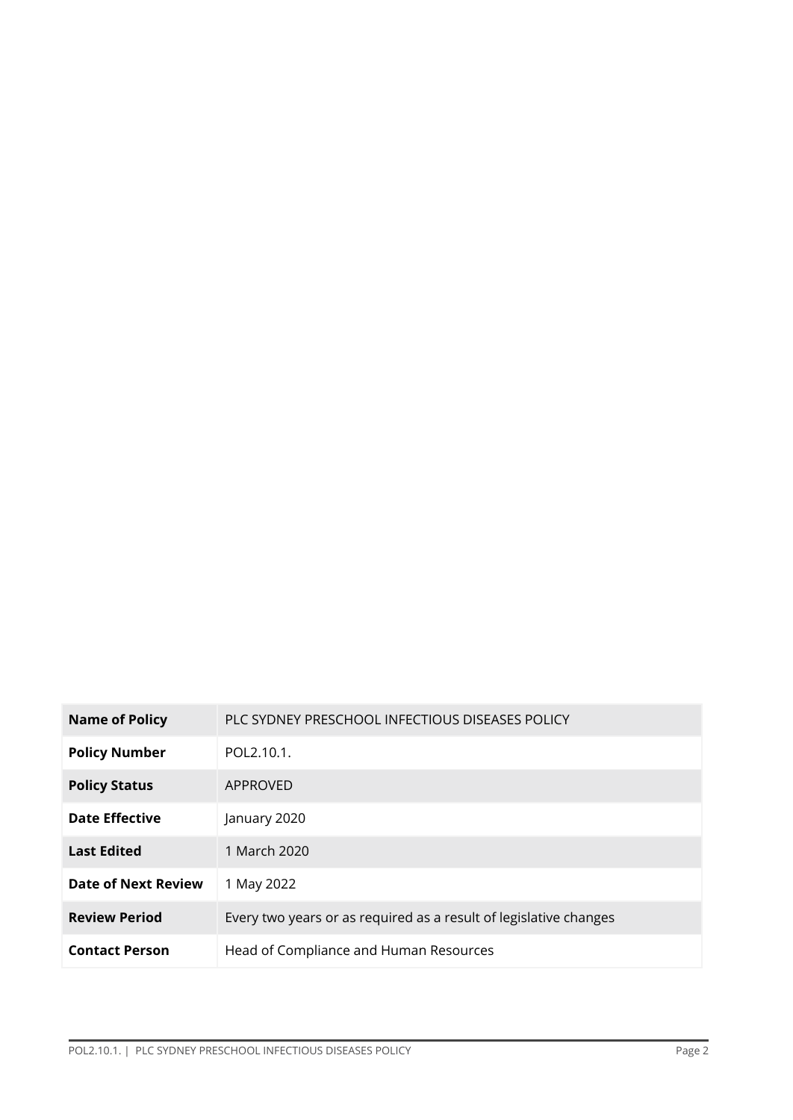| <b>Name of Policy</b>      | PLC SYDNEY PRESCHOOL INFECTIOUS DISEASES POLICY                   |  |
|----------------------------|-------------------------------------------------------------------|--|
| <b>Policy Number</b>       | POL2.10.1.                                                        |  |
| <b>Policy Status</b>       | APPROVED                                                          |  |
| <b>Date Effective</b>      | January 2020                                                      |  |
| <b>Last Edited</b>         | 1 March 2020                                                      |  |
| <b>Date of Next Review</b> | 1 May 2022                                                        |  |
| <b>Review Period</b>       | Every two years or as required as a result of legislative changes |  |
| <b>Contact Person</b>      | Head of Compliance and Human Resources                            |  |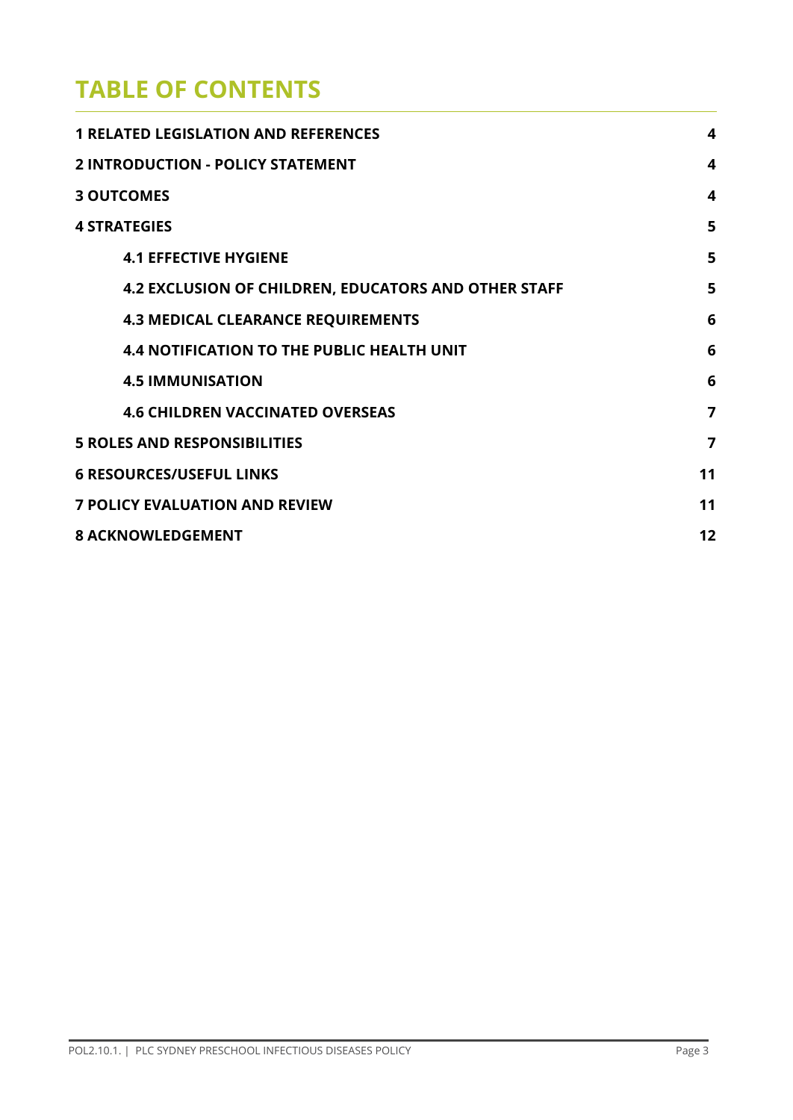# **TABLE OF CONTENTS**

| <b>1 RELATED LEGISLATION AND REFERENCES</b>                 |   |  |
|-------------------------------------------------------------|---|--|
| <b>2 INTRODUCTION - POLICY STATEMENT</b>                    |   |  |
| <b>3 OUTCOMES</b>                                           | 4 |  |
| <b>4 STRATEGIES</b>                                         | 5 |  |
| <b>4.1 EFFECTIVE HYGIENE</b>                                | 5 |  |
| <b>4.2 EXCLUSION OF CHILDREN, EDUCATORS AND OTHER STAFF</b> | 5 |  |
| <b>4.3 MEDICAL CLEARANCE REQUIREMENTS</b>                   | 6 |  |
| <b>4.4 NOTIFICATION TO THE PUBLIC HEALTH UNIT</b>           | 6 |  |
| <b>4.5 IMMUNISATION</b>                                     | 6 |  |
| <b>4.6 CHILDREN VACCINATED OVERSEAS</b>                     | 7 |  |
| <b>5 ROLES AND RESPONSIBILITIES</b>                         |   |  |
| <b>6 RESOURCES/USEFUL LINKS</b>                             |   |  |
| <b>7 POLICY EVALUATION AND REVIEW</b>                       |   |  |
| <b>8 ACKNOWLEDGEMENT</b>                                    |   |  |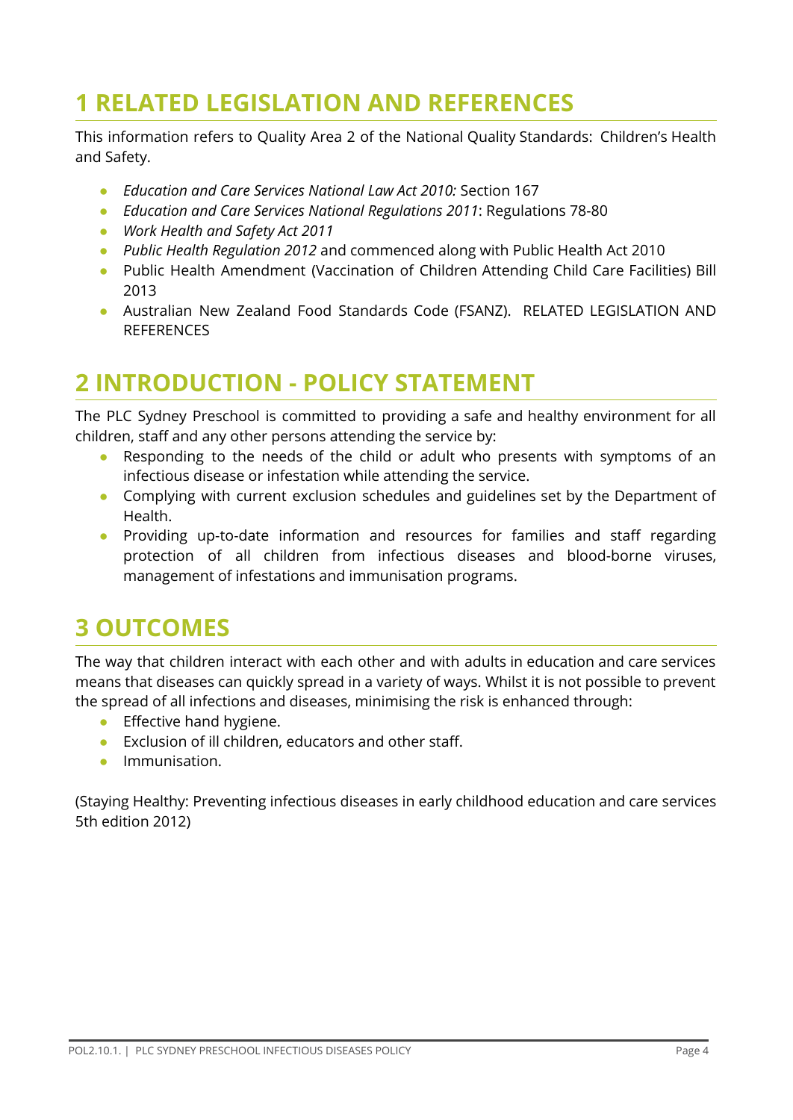# <span id="page-3-0"></span>**1 RELATED LEGISLATION AND REFERENCES**

This information refers to Quality Area 2 of the National Quality Standards: Children's Health and Safety.

- **●** *Education and Care Services National Law Act 2010:* Section 167
- **●** *Education and Care Services National Regulations 2011*: Regulations 78-80
- *● Work Health and Safety Act 2011*
- **●** *Public Health Regulation 2012* and commenced along with Public Health Act 2010
- **●** Public Health Amendment (Vaccination of Children Attending Child Care Facilities) Bill 2013
- **●** Australian New Zealand Food Standards Code (FSANZ). RELATED LEGISLATION AND **REFERENCES**

# **2 INTRODUCTION - POLICY STATEMENT**

The PLC Sydney Preschool is committed to providing a safe and healthy environment for all children, staff and any other persons attending the service by:

- Responding to the needs of the child or adult who presents with symptoms of an infectious disease or infestation while attending the service.
- Complying with current exclusion schedules and guidelines set by the Department of Health.
- Providing up-to-date information and resources for families and staff regarding protection of all children from infectious diseases and blood-borne viruses, management of infestations and immunisation programs.

## **3 OUTCOMES**

The way that children interact with each other and with adults in education and care services means that diseases can quickly spread in a variety of ways. Whilst it is not possible to prevent the spread of all infections and diseases, minimising the risk is enhanced through:

- **•** Effective hand hygiene.
- Exclusion of ill children, educators and other staff.
- Immunisation.

(Staying Healthy: Preventing infectious diseases in early childhood education and care services 5th edition 2012)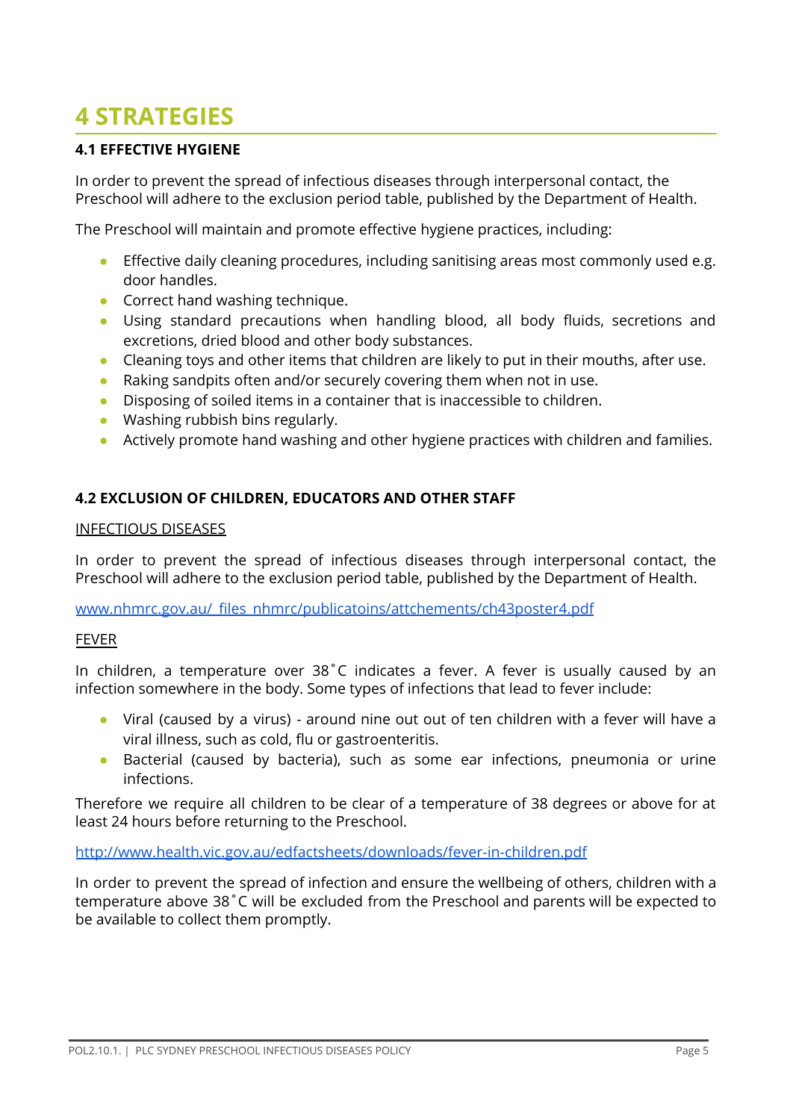# **4 STRATEGIES**

## **4.1 EFFECTIVE HYGIENE**

In order to prevent the spread of infectious diseases through interpersonal contact, the Preschool will adhere to the exclusion period table, published by the Department of Health.

The Preschool will maintain and promote effective hygiene practices, including:

- Effective daily cleaning procedures, including sanitising areas most commonly used e.g. door handles.
- Correct hand washing technique.
- Using standard precautions when handling blood, all body fluids, secretions and excretions, dried blood and other body substances.
- Cleaning toys and other items that children are likely to put in their mouths, after use.
- Raking sandpits often and/or securely covering them when not in use.
- Disposing of soiled items in a container that is inaccessible to children.
- Washing rubbish bins regularly.
- Actively promote hand washing and other hygiene practices with children and families.

### **4.2 EXCLUSION OF CHILDREN, EDUCATORS AND OTHER STAFF**

#### INFECTIOUS DISEASES

In order to prevent the spread of infectious diseases through interpersonal contact, the Preschool will adhere to the exclusion period table, published by the Department of Health.

[www.nhmrc.gov.au/\\_files\\_nhmrc/publicatoins/attchements/ch43poster4.pdf](http://www.nhmrc.gov.au/_files_nhmrc/publicatoins/attchements/ch43poster4.pdf)

#### FEVER

In children, a temperature over 38˚C indicates a fever. A fever is usually caused by an infection somewhere in the body. Some types of infections that lead to fever include:

- Viral (caused by a virus) around nine out out of ten children with a fever will have a viral illness, such as cold, flu or gastroenteritis.
- Bacterial (caused by bacteria), such as some ear infections, pneumonia or urine infections.

Therefore we require all children to be clear of a temperature of 38 degrees or above for at least 24 hours before returning to the Preschool.

#### <http://www.health.vic.gov.au/edfactsheets/downloads/fever-in-children.pdf>

In order to prevent the spread of infection and ensure the wellbeing of others, children with a temperature above 38˚C will be excluded from the Preschool and parents will be expected to be available to collect them promptly.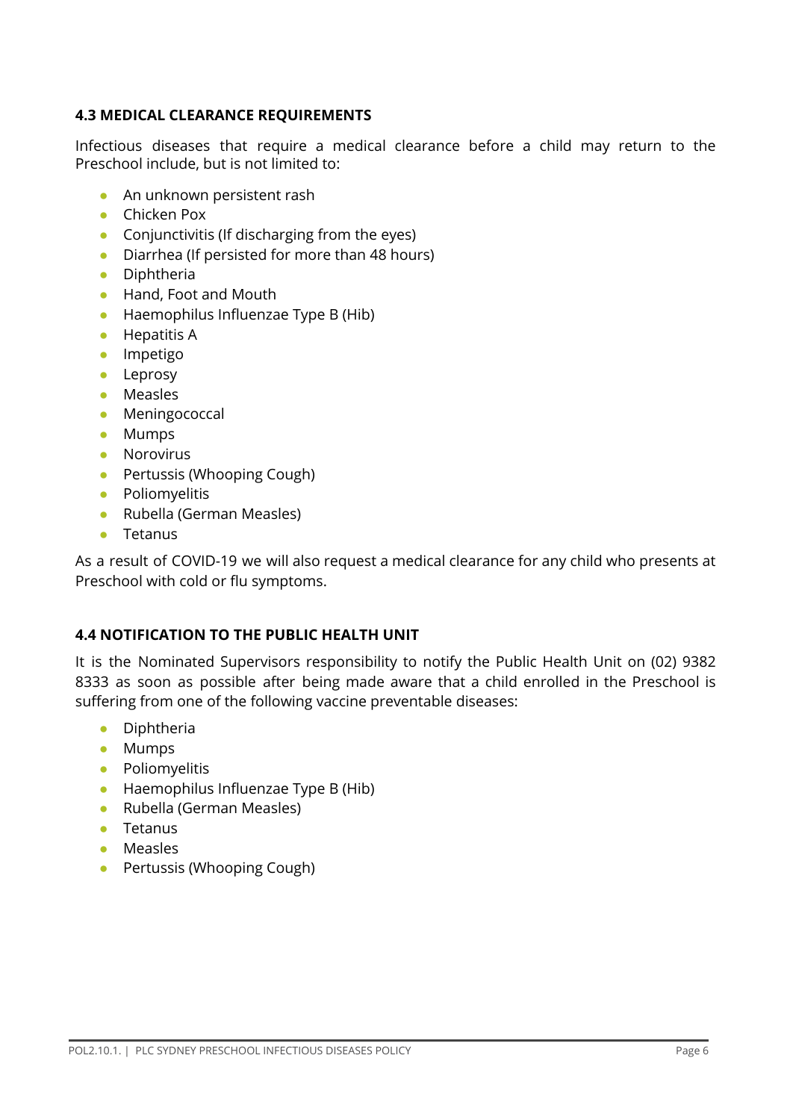## **4.3 MEDICAL CLEARANCE REQUIREMENTS**

Infectious diseases that require a medical clearance before a child may return to the Preschool include, but is not limited to:

- An unknown persistent rash
- Chicken Pox
- Conjunctivitis (If discharging from the eyes)
- Diarrhea (If persisted for more than 48 hours)
- Diphtheria
- Hand, Foot and Mouth
- Haemophilus Influenzae Type B (Hib)
- Hepatitis A
- Impetigo
- Leprosy
- Measles
- Meningococcal
- Mumps
- Norovirus
- Pertussis (Whooping Cough)
- Poliomyelitis
- Rubella (German Measles)
- Tetanus

As a result of COVID-19 we will also request a medical clearance for any child who presents at Preschool with cold or flu symptoms.

#### **4.4 NOTIFICATION TO THE PUBLIC HEALTH UNIT**

It is the Nominated Supervisors responsibility to notify the Public Health Unit on (02) 9382 8333 as soon as possible after being made aware that a child enrolled in the Preschool is suffering from one of the following vaccine preventable diseases:

- Diphtheria
- Mumps
- Poliomyelitis
- Haemophilus Influenzae Type B (Hib)
- Rubella (German Measles)
- Tetanus
- Measles
- Pertussis (Whooping Cough)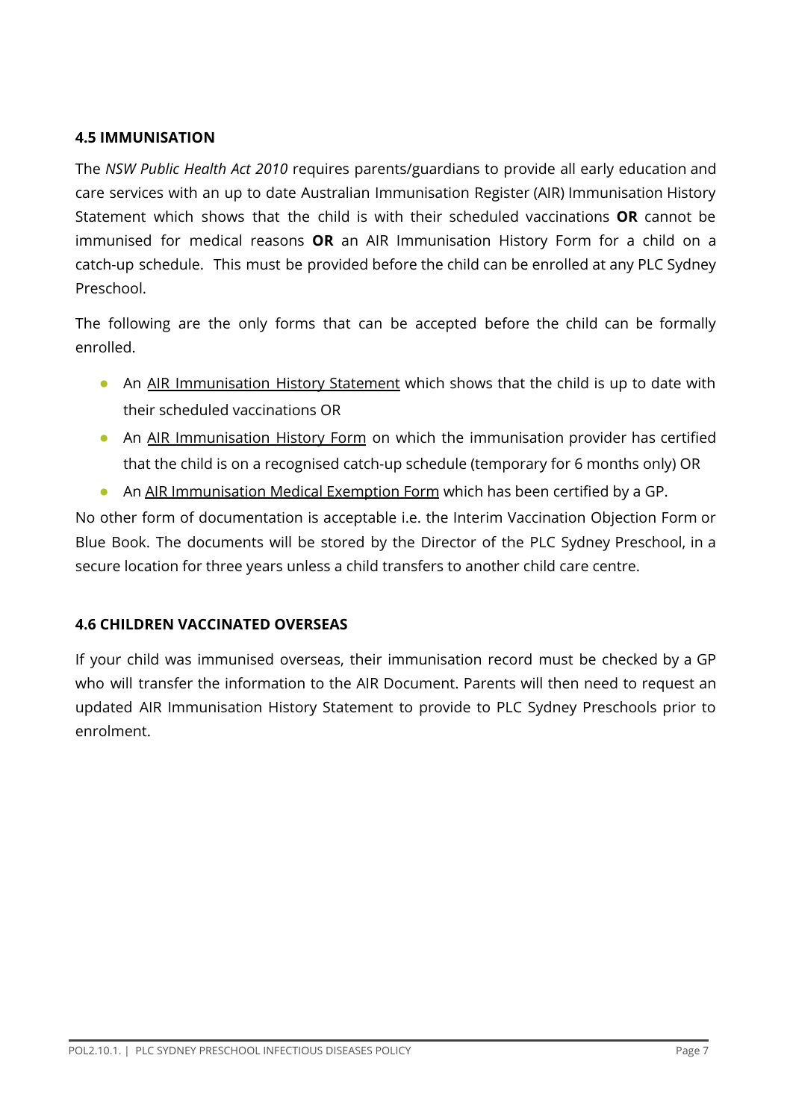## **4.5 IMMUNISATION**

The *NSW Public Health Act 2010* requires parents/guardians to provide all early education and care services with an up to date Australian Immunisation Register (AIR) Immunisation History Statement which shows that the child is with their scheduled vaccinations **OR** cannot be immunised for medical reasons **OR** an AIR Immunisation History Form for a child on a catch-up schedule. This must be provided before the child can be enrolled at any PLC Sydney Preschool.

The following are the only forms that can be accepted before the child can be formally enrolled.

- An AIR [Immunisation](http://www.health.nsw.gov.au/immunisation/Pages/childcare_qa.aspx) History Statement which shows that the child is up to date with their scheduled vaccinations OR
- An AIR [Immunisation](https://www.humanservices.gov.au/health-professionals/forms/im013) History Form on which the immunisation provider has certified that the child is on a recognised catch-up schedule (temporary for 6 months only) OR
- An AIR [Immunisation](https://www.humanservices.gov.au/health-professionals/forms/im011) Medical Exemption Form which has been certified by a GP.

No other form of documentation is acceptable i.e. the Interim Vaccination Objection Form or Blue Book. The documents will be stored by the Director of the PLC Sydney Preschool, in a secure location for three years unless a child transfers to another child care centre.

## **4.6 CHILDREN VACCINATED OVERSEAS**

If your child was immunised overseas, their immunisation record must be checked by a GP who will transfer the information to the AIR Document. Parents will then need to request an updated AIR Immunisation History Statement to provide to PLC Sydney Preschools prior to enrolment.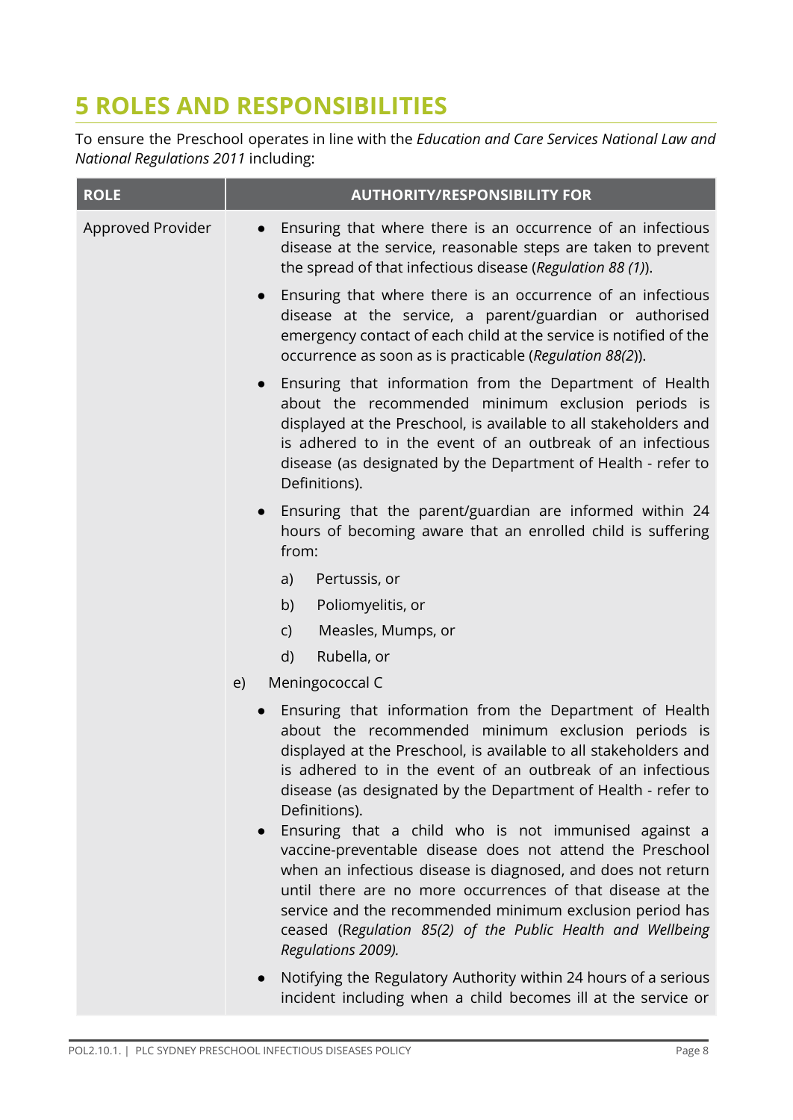# **5 ROLES AND RESPONSIBILITIES**

To ensure the Preschool operates in line with the *Education and Care Services National Law and National Regulations 2011* including:

| <b>ROLE</b>       | <b>AUTHORITY/RESPONSIBILITY FOR</b>                                                                                                                                                                                                                                                                                                                                                                                                                                              |  |
|-------------------|----------------------------------------------------------------------------------------------------------------------------------------------------------------------------------------------------------------------------------------------------------------------------------------------------------------------------------------------------------------------------------------------------------------------------------------------------------------------------------|--|
| Approved Provider | Ensuring that where there is an occurrence of an infectious<br>$\bullet$<br>disease at the service, reasonable steps are taken to prevent<br>the spread of that infectious disease (Regulation 88 (1)).                                                                                                                                                                                                                                                                          |  |
|                   | • Ensuring that where there is an occurrence of an infectious<br>disease at the service, a parent/guardian or authorised<br>emergency contact of each child at the service is notified of the<br>occurrence as soon as is practicable (Regulation 88(2)).                                                                                                                                                                                                                        |  |
|                   | Ensuring that information from the Department of Health<br>$\bullet$<br>about the recommended minimum exclusion periods is<br>displayed at the Preschool, is available to all stakeholders and<br>is adhered to in the event of an outbreak of an infectious<br>disease (as designated by the Department of Health - refer to<br>Definitions).                                                                                                                                   |  |
|                   | • Ensuring that the parent/guardian are informed within 24<br>hours of becoming aware that an enrolled child is suffering<br>from:                                                                                                                                                                                                                                                                                                                                               |  |
|                   | Pertussis, or<br>a)                                                                                                                                                                                                                                                                                                                                                                                                                                                              |  |
|                   | Poliomyelitis, or<br>b)                                                                                                                                                                                                                                                                                                                                                                                                                                                          |  |
|                   | Measles, Mumps, or<br>$\mathsf{C}$                                                                                                                                                                                                                                                                                                                                                                                                                                               |  |
|                   | Rubella, or<br>d)                                                                                                                                                                                                                                                                                                                                                                                                                                                                |  |
|                   | Meningococcal C<br>e)                                                                                                                                                                                                                                                                                                                                                                                                                                                            |  |
|                   | Ensuring that information from the Department of Health<br>$\bullet$<br>about the recommended minimum exclusion periods is<br>displayed at the Preschool, is available to all stakeholders and<br>is adhered to in the event of an outbreak of an infectious<br>disease (as designated by the Department of Health - refer to<br>Definitions).<br>Ensuring that a child who is not immunised against a<br>$\bullet$<br>vaccine-preventable disease does not attend the Preschool |  |
|                   | when an infectious disease is diagnosed, and does not return<br>until there are no more occurrences of that disease at the<br>service and the recommended minimum exclusion period has<br>ceased (Regulation 85(2) of the Public Health and Wellbeing<br>Regulations 2009).                                                                                                                                                                                                      |  |
|                   | Notifying the Regulatory Authority within 24 hours of a serious<br>$\bullet$<br>incident including when a child becomes ill at the service or                                                                                                                                                                                                                                                                                                                                    |  |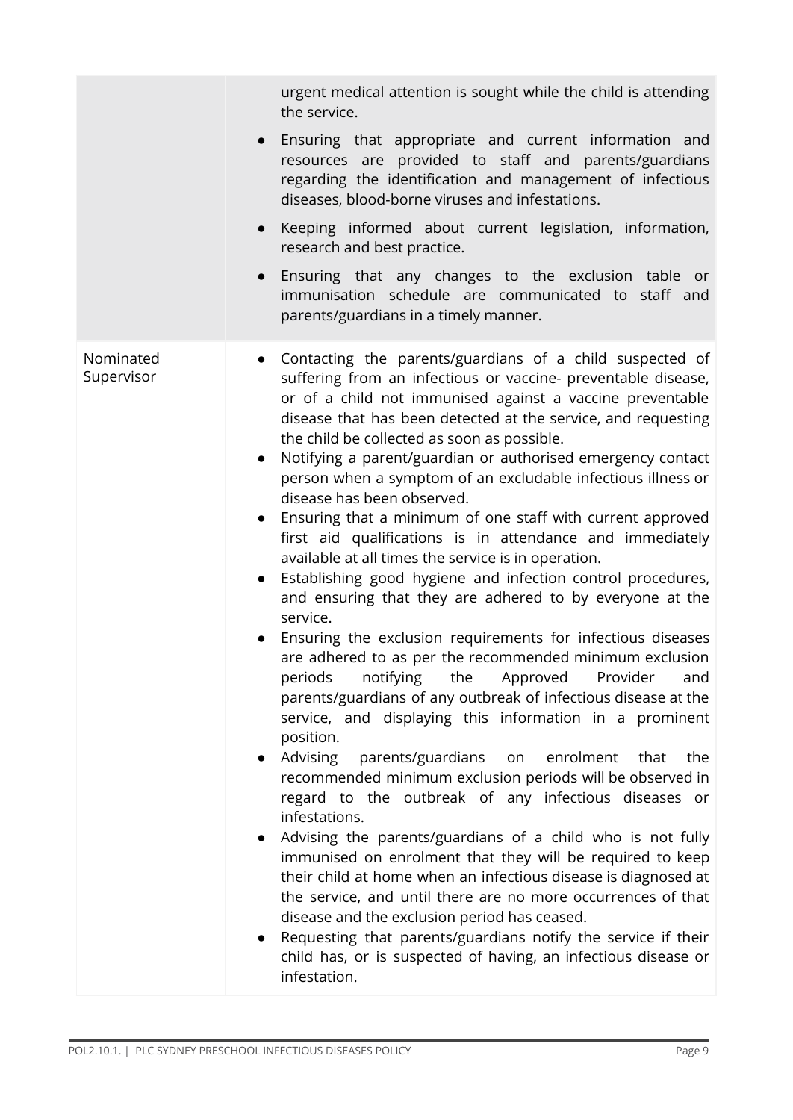|                         | urgent medical attention is sought while the child is attending<br>the service.                                                                                                                                                                                                                                                                                                                                                                                                                                                                                                                                                                                                                                                                                                                                                                                                                                                                                                                                                                                                                                                                                                                                                                                                                                                                                                                                                                                                                                                                                                                                                                                                                                                                                                                                                                   |
|-------------------------|---------------------------------------------------------------------------------------------------------------------------------------------------------------------------------------------------------------------------------------------------------------------------------------------------------------------------------------------------------------------------------------------------------------------------------------------------------------------------------------------------------------------------------------------------------------------------------------------------------------------------------------------------------------------------------------------------------------------------------------------------------------------------------------------------------------------------------------------------------------------------------------------------------------------------------------------------------------------------------------------------------------------------------------------------------------------------------------------------------------------------------------------------------------------------------------------------------------------------------------------------------------------------------------------------------------------------------------------------------------------------------------------------------------------------------------------------------------------------------------------------------------------------------------------------------------------------------------------------------------------------------------------------------------------------------------------------------------------------------------------------------------------------------------------------------------------------------------------------|
|                         | • Ensuring that appropriate and current information and<br>resources are provided to staff and parents/guardians<br>regarding the identification and management of infectious<br>diseases, blood-borne viruses and infestations.                                                                                                                                                                                                                                                                                                                                                                                                                                                                                                                                                                                                                                                                                                                                                                                                                                                                                                                                                                                                                                                                                                                                                                                                                                                                                                                                                                                                                                                                                                                                                                                                                  |
|                         | Keeping informed about current legislation, information,<br>research and best practice.                                                                                                                                                                                                                                                                                                                                                                                                                                                                                                                                                                                                                                                                                                                                                                                                                                                                                                                                                                                                                                                                                                                                                                                                                                                                                                                                                                                                                                                                                                                                                                                                                                                                                                                                                           |
|                         | Ensuring that any changes to the exclusion table or<br>immunisation schedule are communicated to staff and<br>parents/guardians in a timely manner.                                                                                                                                                                                                                                                                                                                                                                                                                                                                                                                                                                                                                                                                                                                                                                                                                                                                                                                                                                                                                                                                                                                                                                                                                                                                                                                                                                                                                                                                                                                                                                                                                                                                                               |
| Nominated<br>Supervisor | • Contacting the parents/guardians of a child suspected of<br>suffering from an infectious or vaccine- preventable disease,<br>or of a child not immunised against a vaccine preventable<br>disease that has been detected at the service, and requesting<br>the child be collected as soon as possible.<br>Notifying a parent/guardian or authorised emergency contact<br>person when a symptom of an excludable infectious illness or<br>disease has been observed.<br>• Ensuring that a minimum of one staff with current approved<br>first aid qualifications is in attendance and immediately<br>available at all times the service is in operation.<br>• Establishing good hygiene and infection control procedures,<br>and ensuring that they are adhered to by everyone at the<br>service.<br>Ensuring the exclusion requirements for infectious diseases<br>$\bullet$<br>are adhered to as per the recommended minimum exclusion<br>notifying<br>the Approved<br>Provider<br>periods<br>and<br>parents/guardians of any outbreak of infectious disease at the<br>service, and displaying this information in a prominent<br>position.<br>Advising<br>parents/guardians<br>enrolment<br>that<br>the<br>on<br>$\bullet$<br>recommended minimum exclusion periods will be observed in<br>regard to the outbreak of any infectious diseases or<br>infestations.<br>Advising the parents/guardians of a child who is not fully<br>$\bullet$<br>immunised on enrolment that they will be required to keep<br>their child at home when an infectious disease is diagnosed at<br>the service, and until there are no more occurrences of that<br>disease and the exclusion period has ceased.<br>Requesting that parents/guardians notify the service if their<br>child has, or is suspected of having, an infectious disease or<br>infestation. |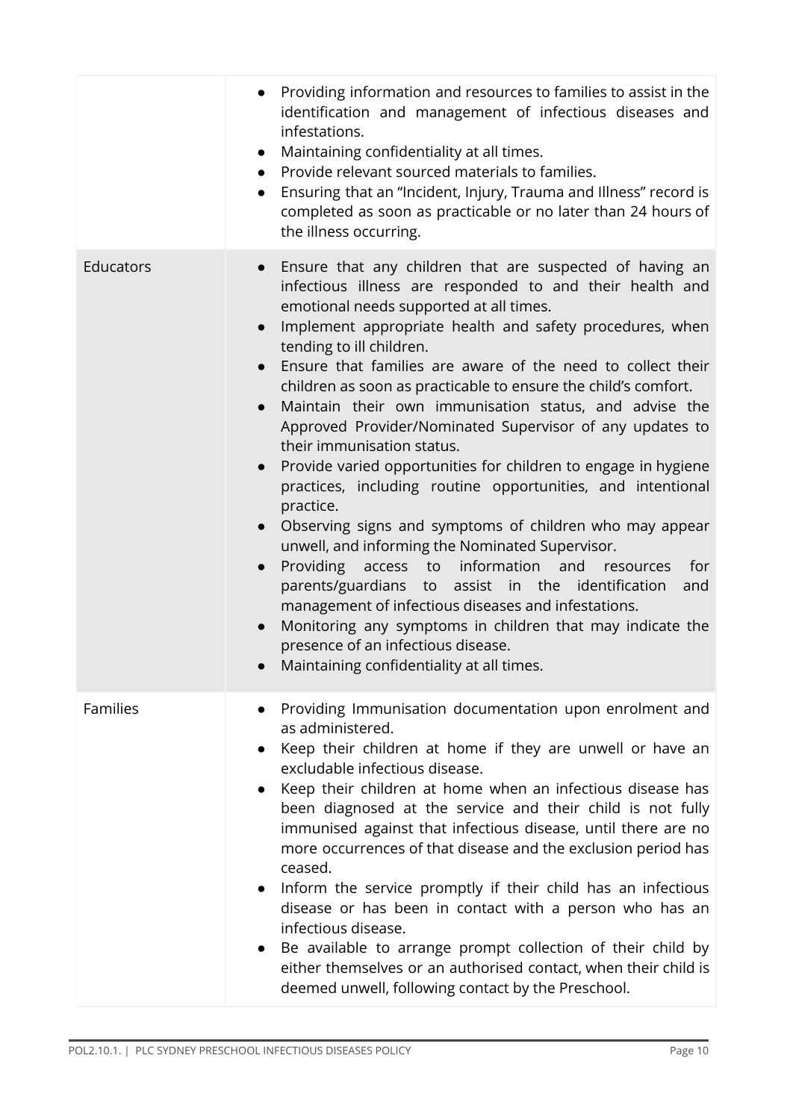|                 | Providing information and resources to families to assist in the<br>identification and management of infectious diseases and<br>infestations.<br>Maintaining confidentiality at all times.<br>$\bullet$<br>Provide relevant sourced materials to families.<br>$\bullet$<br>Ensuring that an "Incident, Injury, Trauma and Illness" record is<br>$\bullet$<br>completed as soon as practicable or no later than 24 hours of<br>the illness occurring.                                                                                                                                                                                                                                                                                                                                                                                                                                                                                                                                                                                                                                                                                                                                                                                       |
|-----------------|--------------------------------------------------------------------------------------------------------------------------------------------------------------------------------------------------------------------------------------------------------------------------------------------------------------------------------------------------------------------------------------------------------------------------------------------------------------------------------------------------------------------------------------------------------------------------------------------------------------------------------------------------------------------------------------------------------------------------------------------------------------------------------------------------------------------------------------------------------------------------------------------------------------------------------------------------------------------------------------------------------------------------------------------------------------------------------------------------------------------------------------------------------------------------------------------------------------------------------------------|
| Educators       | Ensure that any children that are suspected of having an<br>$\bullet$<br>infectious illness are responded to and their health and<br>emotional needs supported at all times.<br>Implement appropriate health and safety procedures, when<br>$\bullet$<br>tending to ill children.<br>Ensure that families are aware of the need to collect their<br>children as soon as practicable to ensure the child's comfort.<br>Maintain their own immunisation status, and advise the<br>$\bullet$<br>Approved Provider/Nominated Supervisor of any updates to<br>their immunisation status.<br>Provide varied opportunities for children to engage in hygiene<br>$\bullet$<br>practices, including routine opportunities, and intentional<br>practice.<br>Observing signs and symptoms of children who may appear<br>$\bullet$<br>unwell, and informing the Nominated Supervisor.<br>information<br>Providing<br>access to<br>and<br>for<br>resources<br>$\bullet$<br>parents/guardians to assist in the identification<br>and<br>management of infectious diseases and infestations.<br>Monitoring any symptoms in children that may indicate the<br>$\bullet$<br>presence of an infectious disease.<br>Maintaining confidentiality at all times. |
| <b>Families</b> | Providing Immunisation documentation upon enrolment and<br>as administered.<br>Keep their children at home if they are unwell or have an<br>excludable infectious disease.<br>Keep their children at home when an infectious disease has<br>been diagnosed at the service and their child is not fully<br>immunised against that infectious disease, until there are no<br>more occurrences of that disease and the exclusion period has<br>ceased.<br>Inform the service promptly if their child has an infectious<br>disease or has been in contact with a person who has an<br>infectious disease.<br>• Be available to arrange prompt collection of their child by<br>either themselves or an authorised contact, when their child is<br>deemed unwell, following contact by the Preschool.                                                                                                                                                                                                                                                                                                                                                                                                                                            |